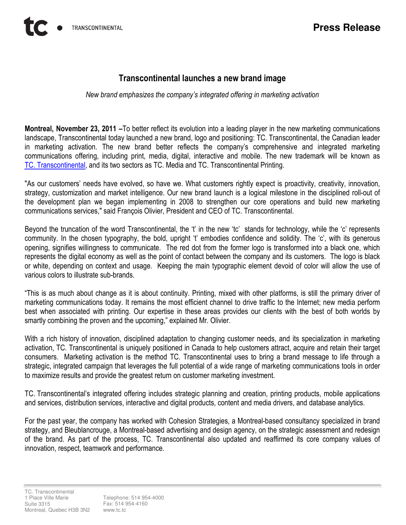## Transcontinental launches a new brand image

New brand emphasizes the company's integrated offering in marketing activation

Montreal, November 23, 2011 –To better reflect its evolution into a leading player in the new marketing communications landscape, Transcontinental today launched a new brand, logo and positioning: TC. Transcontinental, the Canadian leader in marketing activation. The new brand better reflects the company's comprehensive and integrated marketing communications offering, including print, media, digital, interactive and mobile. The new trademark will be known as TC. Transcontinental, and its two sectors as TC. Media and TC. Transcontinental Printing.

"As our customers' needs have evolved, so have we. What customers rightly expect is proactivity, creativity, innovation, strategy, customization and market intelligence. Our new brand launch is a logical milestone in the disciplined roll-out of the development plan we began implementing in 2008 to strengthen our core operations and build new marketing communications services," said François Olivier, President and CEO of TC. Transcontinental.

Beyond the truncation of the word Transcontinental, the 't' in the new 'tc' stands for technology, while the 'c' represents community. In the chosen typography, the bold, upright 't' embodies confidence and solidity. The 'c', with its generous opening, signifies willingness to communicate. The red dot from the former logo is transformed into a black one, which represents the digital economy as well as the point of contact between the company and its customers. The logo is black or white, depending on context and usage. Keeping the main typographic element devoid of color will allow the use of various colors to illustrate sub-brands.

"This is as much about change as it is about continuity. Printing, mixed with other platforms, is still the primary driver of marketing communications today. It remains the most efficient channel to drive traffic to the Internet; new media perform best when associated with printing. Our expertise in these areas provides our clients with the best of both worlds by smartly combining the proven and the upcoming," explained Mr. Olivier.

With a rich history of innovation, disciplined adaptation to changing customer needs, and its specialization in marketing activation, TC. Transcontinental is uniquely positioned in Canada to help customers attract, acquire and retain their target consumers. Marketing activation is the method TC. Transcontinental uses to bring a brand message to life through a strategic, integrated campaign that leverages the full potential of a wide range of marketing communications tools in order to maximize results and provide the greatest return on customer marketing investment.

TC. Transcontinental's integrated offering includes strategic planning and creation, printing products, mobile applications and services, distribution services, interactive and digital products, content and media drivers, and database analytics.

For the past year, the company has worked with Cohesion Strategies, a Montreal-based consultancy specialized in brand strategy, and Bleublancrouge, a Montreal-based advertising and design agency, on the strategic assessment and redesign of the brand. As part of the process, TC. Transcontinental also updated and reaffirmed its core company values of innovation, respect, teamwork and performance.